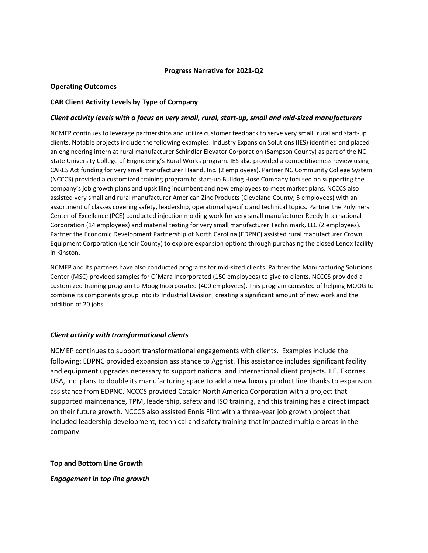## **Progress Narrative for 2021-Q2**

## **Operating Outcomes**

## **CAR Client Activity Levels by Type of Company**

#### *Client activity levels with a focus on very small, rural, start-up, small and mid-sized manufacturers*

NCMEP continues to leverage partnerships and utilize customer feedback to serve very small, rural and start-up clients. Notable projects include the following examples: Industry Expansion Solutions (IES) identified and placed an engineering intern at rural manufacturer Schindler Elevator Corporation (Sampson County) as part of the NC State University College of Engineering's Rural Works program. IES also provided a competitiveness review using CARES Act funding for very small manufacturer Haand, Inc. (2 employees). Partner NC Community College System (NCCCS) provided a customized training program to start-up Bulldog Hose Company focused on supporting the company's job growth plans and upskilling incumbent and new employees to meet market plans. NCCCS also assisted very small and rural manufacturer American Zinc Products (Cleveland County; 5 employees) with an assortment of classes covering safety, leadership, operational specific and technical topics. Partner the Polymers Center of Excellence (PCE) conducted injection molding work for very small manufacturer Reedy International Corporation (14 employees) and material testing for very small manufacturer Technimark, LLC (2 employees). Partner the Economic Development Partnership of North Carolina (EDPNC) assisted rural manufacturer Crown Equipment Corporation (Lenoir County) to explore expansion options through purchasing the closed Lenox facility in Kinston.

NCMEP and its partners have also conducted programs for mid-sized clients. Partner the Manufacturing Solutions Center (MSC) provided samples for O'Mara Incorporated (150 employees) to give to clients. NCCCS provided a customized training program to Moog Incorporated (400 employees). This program consisted of helping MOOG to combine its components group into its Industrial Division, creating a significant amount of new work and the addition of 20 jobs.

# *Client activity with transformational clients*

NCMEP continues to support transformational engagements with clients. Examples include the following: EDPNC provided expansion assistance to Aggrist. This assistance includes significant facility and equipment upgrades necessary to support national and international client projects. J.E. Ekornes USA, Inc. plans to double its manufacturing space to add a new luxury product line thanks to expansion assistance from EDPNC. NCCCS provided Cataler North America Corporation with a project that supported maintenance, TPM, leadership, safety and ISO training, and this training has a direct impact on their future growth. NCCCS also assisted Ennis Flint with a three-year job growth project that included leadership development, technical and safety training that impacted multiple areas in the company.

**Top and Bottom Line Growth**

*Engagement in top line growth*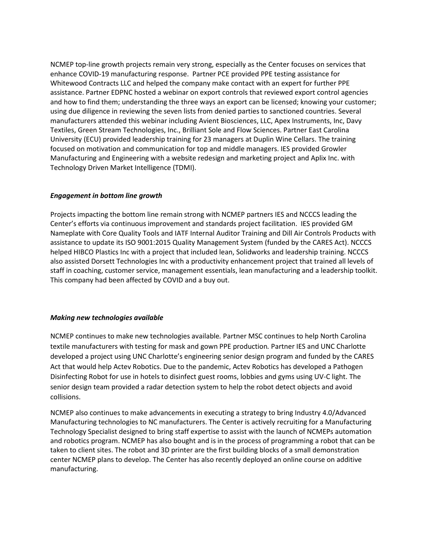NCMEP top-line growth projects remain very strong, especially as the Center focuses on services that enhance COVID-19 manufacturing response. Partner PCE provided PPE testing assistance for Whitewood Contracts LLC and helped the company make contact with an expert for further PPE assistance. Partner EDPNC hosted a webinar on export controls that reviewed export control agencies and how to find them; understanding the three ways an export can be licensed; knowing your customer; using due diligence in reviewing the seven lists from denied parties to sanctioned countries. Several manufacturers attended this webinar including Avient Biosciences, LLC, Apex Instruments, Inc, Davy Textiles, Green Stream Technologies, Inc., Brilliant Sole and Flow Sciences. Partner East Carolina University (ECU) provided leadership training for 23 managers at Duplin Wine Cellars. The training focused on motivation and communication for top and middle managers. IES provided Growler Manufacturing and Engineering with a website redesign and marketing project and Aplix Inc. with Technology Driven Market Intelligence (TDMI).

# *Engagement in bottom line growth*

Projects impacting the bottom line remain strong with NCMEP partners IES and NCCCS leading the Center's efforts via continuous improvement and standards project facilitation. IES provided GM Nameplate with Core Quality Tools and IATF Internal Auditor Training and Dill Air Controls Products with assistance to update its ISO 9001:2015 Quality Management System (funded by the CARES Act). NCCCS helped HIBCO Plastics Inc with a project that included lean, Solidworks and leadership training. NCCCS also assisted Dorsett Technologies Inc with a productivity enhancement project that trained all levels of staff in coaching, customer service, management essentials, lean manufacturing and a leadership toolkit. This company had been affected by COVID and a buy out.

# *Making new technologies available*

NCMEP continues to make new technologies available*.* Partner MSC continues to help North Carolina textile manufacturers with testing for mask and gown PPE production*.* Partner IES and UNC Charlotte developed a project using UNC Charlotte's engineering senior design program and funded by the CARES Act that would help Actev Robotics. Due to the pandemic, Actev Robotics has developed a Pathogen Disinfecting Robot for use in hotels to disinfect guest rooms, lobbies and gyms using UV-C light. The senior design team provided a radar detection system to help the robot detect objects and avoid collisions.

NCMEP also continues to make advancements in executing a strategy to bring Industry 4.0/Advanced Manufacturing technologies to NC manufacturers. The Center is actively recruiting for a Manufacturing Technology Specialist designed to bring staff expertise to assist with the launch of NCMEPs automation and robotics program. NCMEP has also bought and is in the process of programming a robot that can be taken to client sites. The robot and 3D printer are the first building blocks of a small demonstration center NCMEP plans to develop. The Center has also recently deployed an online course on additive manufacturing.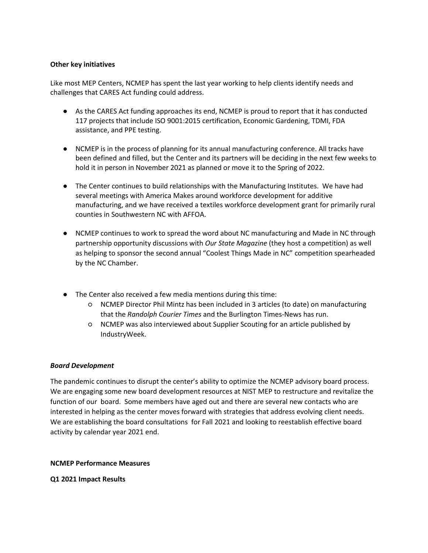## **Other key initiatives**

Like most MEP Centers, NCMEP has spent the last year working to help clients identify needs and challenges that CARES Act funding could address.

- As the CARES Act funding approaches its end, NCMEP is proud to report that it has conducted 117 projects that include ISO 9001:2015 certification, Economic Gardening, TDMI, FDA assistance, and PPE testing.
- NCMEP is in the process of planning for its annual manufacturing conference. All tracks have been defined and filled, but the Center and its partners will be deciding in the next few weeks to hold it in person in November 2021 as planned or move it to the Spring of 2022.
- The Center continues to build relationships with the Manufacturing Institutes. We have had several meetings with America Makes around workforce development for additive manufacturing, and we have received a textiles workforce development grant for primarily rural counties in Southwestern NC with AFFOA.
- NCMEP continues to work to spread the word about NC manufacturing and Made in NC through partnership opportunity discussions with *Our State Magazine* (they host a competition) as well as helping to sponsor the second annual "Coolest Things Made in NC" competition spearheaded by the NC Chamber.
- The Center also received a few media mentions during this time:
	- NCMEP Director Phil Mintz has been included in 3 articles (to date) on manufacturing that the *Randolph Courier Times* and the Burlington Times-News has run.
	- NCMEP was also interviewed about Supplier Scouting for an article published by IndustryWeek.

#### *Board Development*

The pandemic continues to disrupt the center's ability to optimize the NCMEP advisory board process. We are engaging some new board development resources at NIST MEP to restructure and revitalize the function of our board. Some members have aged out and there are several new contacts who are interested in helping as the center moves forward with strategies that address evolving client needs. We are establishing the board consultations for Fall 2021 and looking to reestablish effective board activity by calendar year 2021 end.

#### **NCMEP Performance Measures**

**Q1 2021 Impact Results**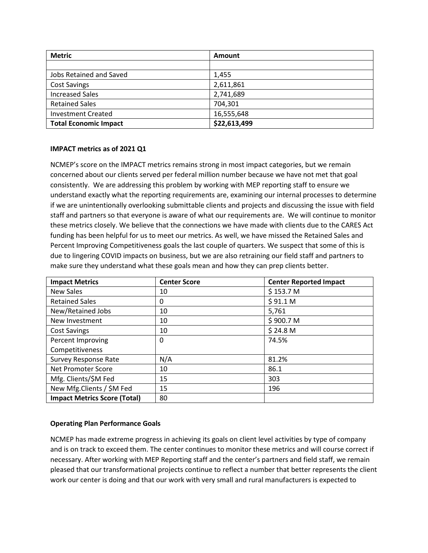| <b>Metric</b>                | <b>Amount</b> |
|------------------------------|---------------|
|                              |               |
| Jobs Retained and Saved      | 1,455         |
| <b>Cost Savings</b>          | 2,611,861     |
| <b>Increased Sales</b>       | 2,741,689     |
| <b>Retained Sales</b>        | 704,301       |
| <b>Investment Created</b>    | 16,555,648    |
| <b>Total Economic Impact</b> | \$22,613,499  |

# **IMPACT metrics as of 2021 Q1**

NCMEP's score on the IMPACT metrics remains strong in most impact categories, but we remain concerned about our clients served per federal million number because we have not met that goal consistently. We are addressing this problem by working with MEP reporting staff to ensure we understand exactly what the reporting requirements are, examining our internal processes to determine if we are unintentionally overlooking submittable clients and projects and discussing the issue with field staff and partners so that everyone is aware of what our requirements are. We will continue to monitor these metrics closely. We believe that the connections we have made with clients due to the CARES Act funding has been helpful for us to meet our metrics. As well, we have missed the Retained Sales and Percent Improving Competitiveness goals the last couple of quarters. We suspect that some of this is due to lingering COVID impacts on business, but we are also retraining our field staff and partners to make sure they understand what these goals mean and how they can prep clients better.

| <b>Impact Metrics</b>               | <b>Center Score</b> | <b>Center Reported Impact</b> |
|-------------------------------------|---------------------|-------------------------------|
| <b>New Sales</b>                    | 10                  | \$153.7 M                     |
| <b>Retained Sales</b>               | 0                   | \$91.1 M                      |
| New/Retained Jobs                   | 10                  | 5,761                         |
| New Investment                      | 10                  | \$900.7 M                     |
| <b>Cost Savings</b>                 | 10                  | \$24.8 <sub>M</sub>           |
| Percent Improving                   | 0                   | 74.5%                         |
| Competitiveness                     |                     |                               |
| <b>Survey Response Rate</b>         | N/A                 | 81.2%                         |
| <b>Net Promoter Score</b>           | 10                  | 86.1                          |
| Mfg. Clients/\$M Fed                | 15                  | 303                           |
| New Mfg.Clients / \$M Fed           | 15                  | 196                           |
| <b>Impact Metrics Score (Total)</b> | 80                  |                               |

# **Operating Plan Performance Goals**

NCMEP has made extreme progress in achieving its goals on client level activities by type of company and is on track to exceed them. The center continues to monitor these metrics and will course correct if necessary. After working with MEP Reporting staff and the center's partners and field staff, we remain pleased that our transformational projects continue to reflect a number that better represents the client work our center is doing and that our work with very small and rural manufacturers is expected to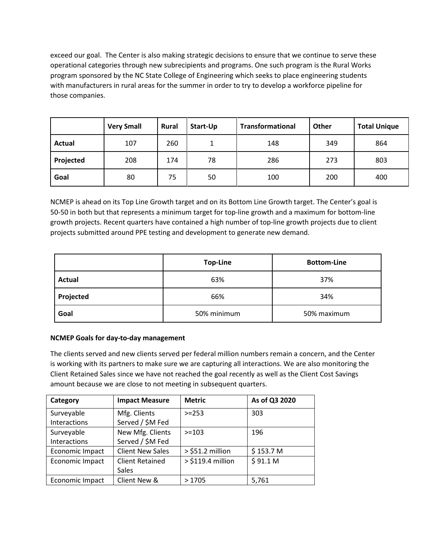exceed our goal. The Center is also making strategic decisions to ensure that we continue to serve these operational categories through new subrecipients and programs. One such program is the Rural Works program sponsored by the NC State College of Engineering which seeks to place engineering students with manufacturers in rural areas for the summer in order to try to develop a workforce pipeline for those companies.

|               | <b>Very Small</b> | Rural | Start-Up | <b>Transformational</b> | <b>Other</b> | <b>Total Unique</b> |
|---------------|-------------------|-------|----------|-------------------------|--------------|---------------------|
| <b>Actual</b> | 107               | 260   |          | 148                     | 349          | 864                 |
| Projected     | 208               | 174   | 78       | 286                     | 273          | 803                 |
| Goal          | 80                | 75    | 50       | 100                     | 200          | 400                 |

NCMEP is ahead on its Top Line Growth target and on its Bottom Line Growth target. The Center's goal is 50-50 in both but that represents a minimum target for top-line growth and a maximum for bottom-line growth projects. Recent quarters have contained a high number of top-line growth projects due to client projects submitted around PPE testing and development to generate new demand.

|               | <b>Top-Line</b> | <b>Bottom-Line</b> |
|---------------|-----------------|--------------------|
| <b>Actual</b> | 63%             | 37%                |
| Projected     | 66%             | 34%                |
| Goal          | 50% minimum     | 50% maximum        |

# **NCMEP Goals for day-to-day management**

The clients served and new clients served per federal million numbers remain a concern, and the Center is working with its partners to make sure we are capturing all interactions. We are also monitoring the Client Retained Sales since we have not reached the goal recently as well as the Client Cost Savings amount because we are close to not meeting in subsequent quarters.

| Category        | <b>Impact Measure</b>   | <b>Metric</b>       | As of Q3 2020 |
|-----------------|-------------------------|---------------------|---------------|
| Surveyable      | Mfg. Clients            | $> = 253$           | 303           |
| Interactions    | Served / \$M Fed        |                     |               |
| Surveyable      | New Mfg. Clients        | $>=103$             | 196           |
| Interactions    | Served / \$M Fed        |                     |               |
| Economic Impact | <b>Client New Sales</b> | $>$ \$51.2 million  | \$153.7 M     |
| Economic Impact | <b>Client Retained</b>  | $>$ \$119.4 million | \$91.1 M      |
|                 | Sales                   |                     |               |
| Economic Impact | Client New &            | >1705               | 5,761         |